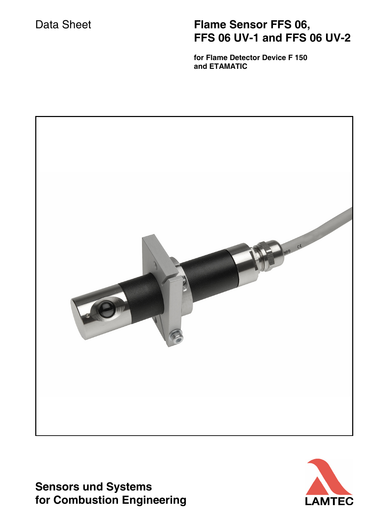# Data Sheet **Flame Sensor FFS 06, FFS 06 UV-1 and FFS 06 UV-2**

 **for Flame Detector Device F 150 and ETAMATIC**



**Sensors und Systems for Combustion Engineering**